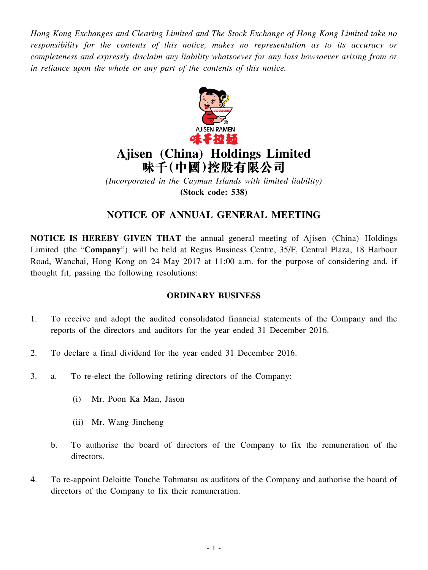*Hong Kong Exchanges and Clearing Limited and The Stock Exchange of Hong Kong Limited take no responsibility for the contents of this notice, makes no representation as to its accuracy or completeness and expressly disclaim any liability whatsoever for any loss howsoever arising from or in reliance upon the whole or any part of the contents of this notice.*



# **Ajisen (China) Holdings Limited 味千(中國)控股有限公司**

*(Incorporated in the Cayman Islands with limited liability)* **(Stock code: 538)**

## **NOTICE OF ANNUAL GENERAL MEETING**

**NOTICE IS HEREBY GIVEN THAT** the annual general meeting of Ajisen (China) Holdings Limited (the "**Company**") will be held at Regus Business Centre, 35/F, Central Plaza, 18 Harbour Road, Wanchai, Hong Kong on 24 May 2017 at 11:00 a.m. for the purpose of considering and, if thought fit, passing the following resolutions:

### **ORDINARY BUSINESS**

- 1. To receive and adopt the audited consolidated financial statements of the Company and the reports of the directors and auditors for the year ended 31 December 2016.
- 2. To declare a final dividend for the year ended 31 December 2016.
- 3. a. To re-elect the following retiring directors of the Company:
	- (i) Mr. Poon Ka Man, Jason
	- (ii) Mr. Wang Jincheng
	- b. To authorise the board of directors of the Company to fix the remuneration of the directors.
- 4. To re-appoint Deloitte Touche Tohmatsu as auditors of the Company and authorise the board of directors of the Company to fix their remuneration.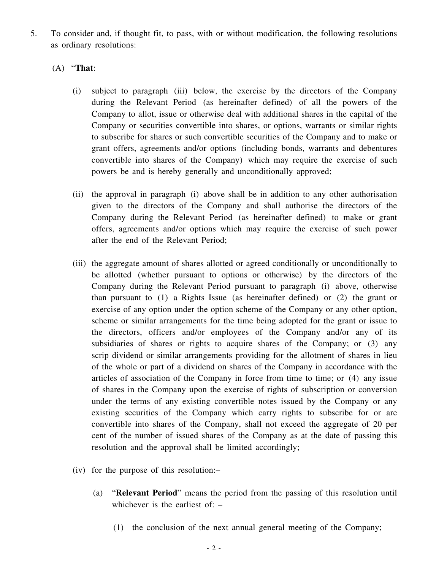5. To consider and, if thought fit, to pass, with or without modification, the following resolutions as ordinary resolutions:

#### (A) "**That**:

- (i) subject to paragraph (iii) below, the exercise by the directors of the Company during the Relevant Period (as hereinafter defined) of all the powers of the Company to allot, issue or otherwise deal with additional shares in the capital of the Company or securities convertible into shares, or options, warrants or similar rights to subscribe for shares or such convertible securities of the Company and to make or grant offers, agreements and/or options (including bonds, warrants and debentures convertible into shares of the Company) which may require the exercise of such powers be and is hereby generally and unconditionally approved;
- (ii) the approval in paragraph (i) above shall be in addition to any other authorisation given to the directors of the Company and shall authorise the directors of the Company during the Relevant Period (as hereinafter defined) to make or grant offers, agreements and/or options which may require the exercise of such power after the end of the Relevant Period;
- (iii) the aggregate amount of shares allotted or agreed conditionally or unconditionally to be allotted (whether pursuant to options or otherwise) by the directors of the Company during the Relevant Period pursuant to paragraph (i) above, otherwise than pursuant to (1) a Rights Issue (as hereinafter defined) or (2) the grant or exercise of any option under the option scheme of the Company or any other option, scheme or similar arrangements for the time being adopted for the grant or issue to the directors, officers and/or employees of the Company and/or any of its subsidiaries of shares or rights to acquire shares of the Company; or (3) any scrip dividend or similar arrangements providing for the allotment of shares in lieu of the whole or part of a dividend on shares of the Company in accordance with the articles of association of the Company in force from time to time; or (4) any issue of shares in the Company upon the exercise of rights of subscription or conversion under the terms of any existing convertible notes issued by the Company or any existing securities of the Company which carry rights to subscribe for or are convertible into shares of the Company, shall not exceed the aggregate of 20 per cent of the number of issued shares of the Company as at the date of passing this resolution and the approval shall be limited accordingly;
- (iv) for the purpose of this resolution:–
	- (a) "**Relevant Period**" means the period from the passing of this resolution until whichever is the earliest of: –
		- (1) the conclusion of the next annual general meeting of the Company;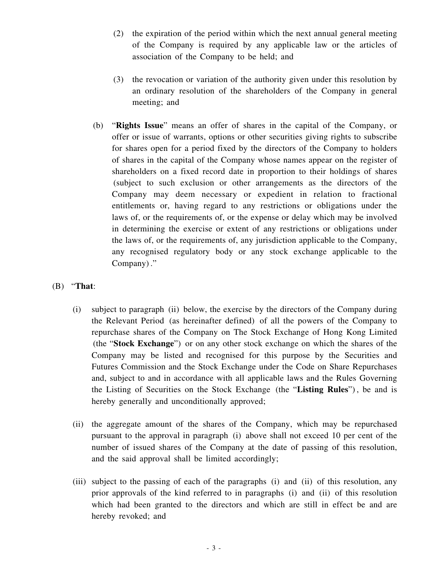- (2) the expiration of the period within which the next annual general meeting of the Company is required by any applicable law or the articles of association of the Company to be held; and
- (3) the revocation or variation of the authority given under this resolution by an ordinary resolution of the shareholders of the Company in general meeting; and
- (b) "**Rights Issue**" means an offer of shares in the capital of the Company, or offer or issue of warrants, options or other securities giving rights to subscribe for shares open for a period fixed by the directors of the Company to holders of shares in the capital of the Company whose names appear on the register of shareholders on a fixed record date in proportion to their holdings of shares (subject to such exclusion or other arrangements as the directors of the Company may deem necessary or expedient in relation to fractional entitlements or, having regard to any restrictions or obligations under the laws of, or the requirements of, or the expense or delay which may be involved in determining the exercise or extent of any restrictions or obligations under the laws of, or the requirements of, any jurisdiction applicable to the Company, any recognised regulatory body or any stock exchange applicable to the Company) ."

#### (B) "**That**:

- (i) subject to paragraph (ii) below, the exercise by the directors of the Company during the Relevant Period (as hereinafter defined) of all the powers of the Company to repurchase shares of the Company on The Stock Exchange of Hong Kong Limited (the "**Stock Exchange**") or on any other stock exchange on which the shares of the Company may be listed and recognised for this purpose by the Securities and Futures Commission and the Stock Exchange under the Code on Share Repurchases and, subject to and in accordance with all applicable laws and the Rules Governing the Listing of Securities on the Stock Exchange (the "**Listing Rules**") , be and is hereby generally and unconditionally approved;
- (ii) the aggregate amount of the shares of the Company, which may be repurchased pursuant to the approval in paragraph (i) above shall not exceed 10 per cent of the number of issued shares of the Company at the date of passing of this resolution, and the said approval shall be limited accordingly;
- (iii) subject to the passing of each of the paragraphs (i) and (ii) of this resolution, any prior approvals of the kind referred to in paragraphs (i) and (ii) of this resolution which had been granted to the directors and which are still in effect be and are hereby revoked; and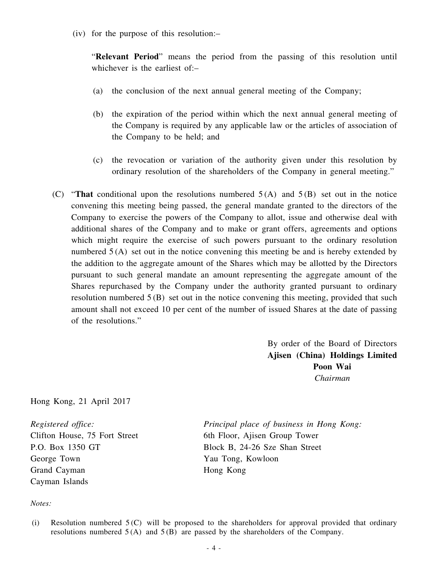(iv) for the purpose of this resolution:–

"**Relevant Period**" means the period from the passing of this resolution until whichever is the earliest of:–

- (a) the conclusion of the next annual general meeting of the Company;
- (b) the expiration of the period within which the next annual general meeting of the Company is required by any applicable law or the articles of association of the Company to be held; and
- (c) the revocation or variation of the authority given under this resolution by ordinary resolution of the shareholders of the Company in general meeting."
- (C) "**That** conditional upon the resolutions numbered 5 (A) and 5 (B) set out in the notice convening this meeting being passed, the general mandate granted to the directors of the Company to exercise the powers of the Company to allot, issue and otherwise deal with additional shares of the Company and to make or grant offers, agreements and options which might require the exercise of such powers pursuant to the ordinary resolution numbered  $5(A)$  set out in the notice convening this meeting be and is hereby extended by the addition to the aggregate amount of the Shares which may be allotted by the Directors pursuant to such general mandate an amount representing the aggregate amount of the Shares repurchased by the Company under the authority granted pursuant to ordinary resolution numbered 5 (B) set out in the notice convening this meeting, provided that such amount shall not exceed 10 per cent of the number of issued Shares at the date of passing of the resolutions."

By order of the Board of Directors **Ajisen (China) Holdings Limited Poon Wai** *Chairman*

Hong Kong, 21 April 2017

*Registered office:* Clifton House, 75 Fort Street P.O. Box 1350 GT George Town Grand Cayman Cayman Islands

*Principal place of business in Hong Kong:* 6th Floor, Ajisen Group Tower Block B, 24-26 Sze Shan Street Yau Tong, Kowloon Hong Kong

#### *Notes:*

<sup>(</sup>i) Resolution numbered  $5(C)$  will be proposed to the shareholders for approval provided that ordinary resolutions numbered  $5(A)$  and  $5(B)$  are passed by the shareholders of the Company.